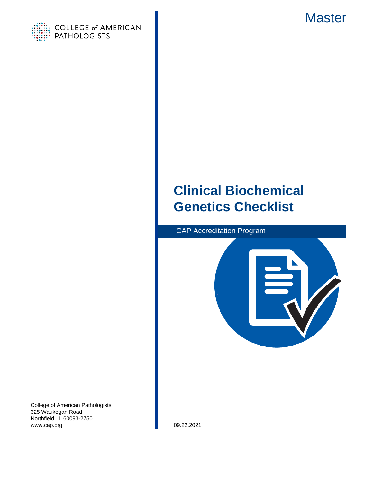



# **Clinical Biochemical Genetics Checklist**



College of American Pathologists 325 Waukegan Road Northfield, IL 60093-2750 www.cap.org 09.22.2021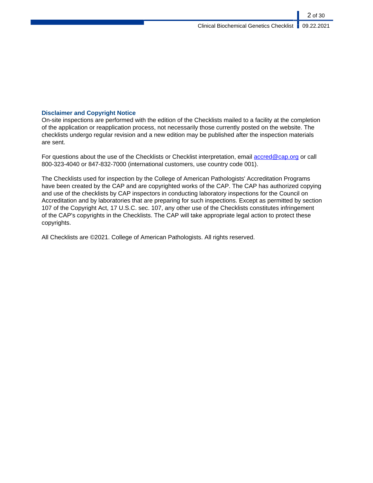### **Disclaimer and Copyright Notice**

On-site inspections are performed with the edition of the Checklists mailed to a facility at the completion of the application or reapplication process, not necessarily those currently posted on the website. The checklists undergo regular revision and a new edition may be published after the inspection materials are sent.

For questions about the use of the Checklists or Checklist interpretation, email [accred@cap.org](mailto:accred@cap.org) or call 800-323-4040 or 847-832-7000 (international customers, use country code 001).

The Checklists used for inspection by the College of American Pathologists' Accreditation Programs have been created by the CAP and are copyrighted works of the CAP. The CAP has authorized copying and use of the checklists by CAP inspectors in conducting laboratory inspections for the Council on Accreditation and by laboratories that are preparing for such inspections. Except as permitted by section 107 of the Copyright Act, 17 U.S.C. sec. 107, any other use of the Checklists constitutes infringement of the CAP's copyrights in the Checklists. The CAP will take appropriate legal action to protect these copyrights.

All Checklists are ©2021. College of American Pathologists. All rights reserved.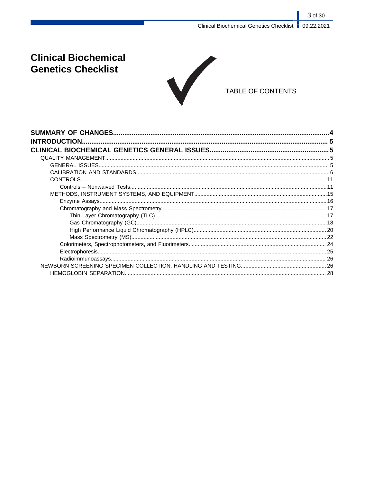# **Clinical Biochemical Genetics Checklist**



## TABLE OF CONTENTS

| <b>INTRODUCTION.</b> |  |
|----------------------|--|
|                      |  |
|                      |  |
|                      |  |
|                      |  |
|                      |  |
|                      |  |
|                      |  |
|                      |  |
|                      |  |
|                      |  |
|                      |  |
|                      |  |
|                      |  |
|                      |  |
|                      |  |
|                      |  |
|                      |  |
|                      |  |
|                      |  |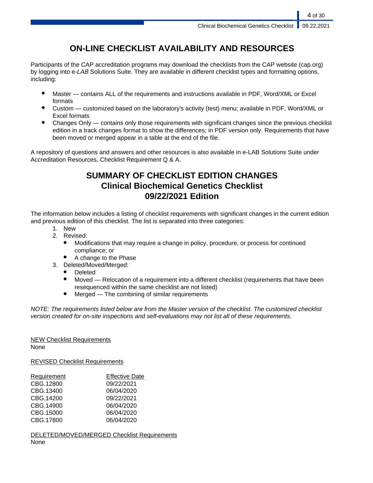# **ON-LINE CHECKLIST AVAILABILITY AND RESOURCES**

Participants of the CAP accreditation programs may download the checklists from the CAP website (cap.org) by logging into e-LAB Solutions Suite. They are available in different checklist types and formatting options, including:

- Master contains ALL of the requirements and instructions available in PDF, Word/XML or Excel formats
- Custom customized based on the laboratory's activity (test) menu; available in PDF, Word/XML or Excel formats
- Changes Only contains only those requirements with significant changes since the previous checklist edition in a track changes format to show the differences; in PDF version only. Requirements that have been moved or merged appear in a table at the end of the file.

A repository of questions and answers and other resources is also available in e-LAB Solutions Suite under Accreditation Resources, Checklist Requirement Q & A.

# **SUMMARY OF CHECKLIST EDITION CHANGES Clinical Biochemical Genetics Checklist 09/22/2021 Edition**

The information below includes a listing of checklist requirements with significant changes in the current edition and previous edition of this checklist. The list is separated into three categories:

- 1. New
- 2. Revised:
	- Modifications that may require a change in policy, procedure, or process for continued compliance; or
	- A change to the Phase
- 3. Deleted/Moved/Merged:
	- **Deleted**
	- Moved Relocation of a requirement into a different checklist (requirements that have been resequenced within the same checklist are not listed)
	- $Mered$  The combining of similar requirements

NOTE: The requirements listed below are from the Master version of the checklist. The customized checklist version created for on-site inspections and self-evaluations may not list all of these requirements.

# NEW Checklist Requirements

None

REVISED Checklist Requirements

| Requirement | <b>Effective Date</b> |
|-------------|-----------------------|
| CBG.12800   | 09/22/2021            |
| CBG.13400   | 06/04/2020            |
| CBG.14200   | 09/22/2021            |
| CBG.14900   | 06/04/2020            |
| CBG.15000   | 06/04/2020            |
| CBG.17800   | 06/04/2020            |

DELETED/MOVED/MERGED Checklist Requirements None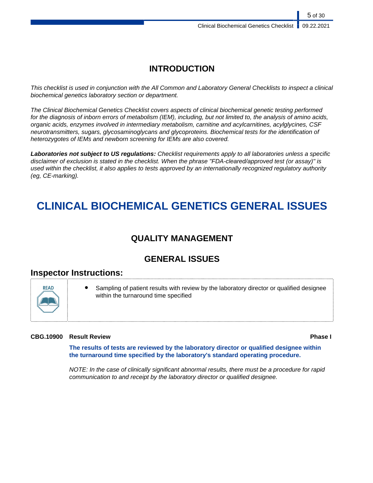# **INTRODUCTION**

This checklist is used in conjunction with the All Common and Laboratory General Checklists to inspect a clinical biochemical genetics laboratory section or department.

The Clinical Biochemical Genetics Checklist covers aspects of clinical biochemical genetic testing performed for the diagnosis of inborn errors of metabolism (IEM), including, but not limited to, the analysis of amino acids, organic acids, enzymes involved in intermediary metabolism, carnitine and acylcarnitines, acylglycines, CSF neurotransmitters, sugars, glycosaminoglycans and glycoproteins. Biochemical tests for the identification of heterozygotes of IEMs and newborn screening for IEMs are also covered.

**Laboratories not subject to US regulations:** Checklist requirements apply to all laboratories unless a specific disclaimer of exclusion is stated in the checklist. When the phrase "FDA-cleared/approved test (or assay)" is used within the checklist, it also applies to tests approved by an internationally recognized regulatory authority (eg, CE-marking).

# **CLINICAL BIOCHEMICAL GENETICS GENERAL ISSUES**

# **QUALITY MANAGEMENT**

# **GENERAL ISSUES**

## **Inspector Instructions:**



Sampling of patient results with review by the laboratory director or qualified designee within the turnaround time specified

### **CBG.10900 Result Review Phase I**

**The results of tests are reviewed by the laboratory director or qualified designee within the turnaround time specified by the laboratory's standard operating procedure.**

NOTE: In the case of clinically significant abnormal results, there must be a procedure for rapid communication to and receipt by the laboratory director or qualified designee.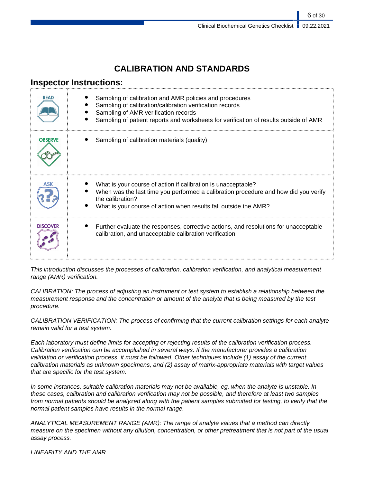# **CALIBRATION AND STANDARDS**

# **Inspector Instructions:**

| READ            | Sampling of calibration and AMR policies and procedures<br>Sampling of calibration/calibration verification records<br>Sampling of AMR verification records<br>Sampling of patient reports and worksheets for verification of results outside of AMR |
|-----------------|------------------------------------------------------------------------------------------------------------------------------------------------------------------------------------------------------------------------------------------------------|
| <b>OBSERVE</b>  | Sampling of calibration materials (quality)                                                                                                                                                                                                          |
|                 | What is your course of action if calibration is unacceptable?<br>When was the last time you performed a calibration procedure and how did you verify<br>the calibration?<br>What is your course of action when results fall outside the AMR?         |
| <b>DISCOVER</b> | Further evaluate the responses, corrective actions, and resolutions for unacceptable<br>calibration, and unacceptable calibration verification                                                                                                       |

This introduction discusses the processes of calibration, calibration verification, and analytical measurement range (AMR) verification.

CALIBRATION: The process of adjusting an instrument or test system to establish a relationship between the measurement response and the concentration or amount of the analyte that is being measured by the test procedure.

CALIBRATION VERIFICATION: The process of confirming that the current calibration settings for each analyte remain valid for a test system.

Each laboratory must define limits for accepting or rejecting results of the calibration verification process. Calibration verification can be accomplished in several ways. If the manufacturer provides a calibration validation or verification process, it must be followed. Other techniques include (1) assay of the current calibration materials as unknown specimens, and (2) assay of matrix-appropriate materials with target values that are specific for the test system.

In some instances, suitable calibration materials may not be available, eg, when the analyte is unstable. In these cases, calibration and calibration verification may not be possible, and therefore at least two samples from normal patients should be analyzed along with the patient samples submitted for testing, to verify that the normal patient samples have results in the normal range.

ANALYTICAL MEASUREMENT RANGE (AMR): The range of analyte values that a method can directly measure on the specimen without any dilution, concentration, or other pretreatment that is not part of the usual assay process.

LINEARITY AND THE AMR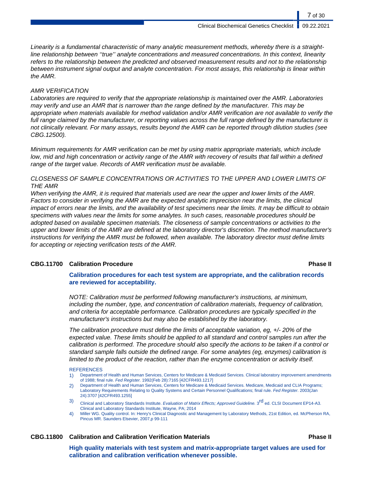Linearity is a fundamental characteristic of many analytic measurement methods, whereby there is a straightline relationship between ''true'' analyte concentrations and measured concentrations. In this context, linearity refers to the relationship between the predicted and observed measurement results and not to the relationship between instrument signal output and analyte concentration. For most assays, this relationship is linear within the AMR.

### AMR VERIFICATION

Laboratories are required to verify that the appropriate relationship is maintained over the AMR. Laboratories may verify and use an AMR that is narrower than the range defined by the manufacturer. This may be appropriate when materials available for method validation and/or AMR verification are not available to verify the full range claimed by the manufacturer, or reporting values across the full range defined by the manufacturer is not clinically relevant. For many assays, results beyond the AMR can be reported through dilution studies (see CBG.12500).

Minimum requirements for AMR verification can be met by using matrix appropriate materials, which include low, mid and high concentration or activity range of the AMR with recovery of results that fall within a defined range of the target value. Records of AMR verification must be available.

### CLOSENESS OF SAMPLE CONCENTRATIONS OR ACTIVITIES TO THE UPPER AND LOWER LIMITS OF THE AMR

When verifying the AMR, it is required that materials used are near the upper and lower limits of the AMR. Factors to consider in verifying the AMR are the expected analytic imprecision near the limits, the clinical impact of errors near the limits, and the availability of test specimens near the limits. It may be difficult to obtain specimens with values near the limits for some analytes. In such cases, reasonable procedures should be adopted based on available specimen materials. The closeness of sample concentrations or activities to the upper and lower limits of the AMR are defined at the laboratory director's discretion. The method manufacturer's instructions for verifying the AMR must be followed, when available. The laboratory director must define limits for accepting or rejecting verification tests of the AMR.

### **CBG.11700 Calibration Procedure Phase II**

### **Calibration procedures for each test system are appropriate, and the calibration records are reviewed for acceptability.**

NOTE: Calibration must be performed following manufacturer's instructions, at minimum, including the number, type, and concentration of calibration materials, frequency of calibration, and criteria for acceptable performance. Calibration procedures are typically specified in the manufacturer's instructions but may also be established by the laboratory.

The calibration procedure must define the limits of acceptable variation, eg, +/- 20% of the expected value. These limits should be applied to all standard and control samples run after the calibration is performed. The procedure should also specify the actions to be taken if a control or standard sample falls outside the defined range. For some analytes (eg, enzymes) calibration is limited to the product of the reaction, rather than the enzyme concentration or activity itself.

#### **REFERENCES**

- 1) Department of Health and Human Services, Centers for Medicare & Medicaid Services. Clinical laboratory improvement amendments of 1988; final rule. Fed Register. 1992(Feb 28):7165 [42CFR493.1217]
- 2) Department of Health and Human Services, Centers for Medicare & Medicaid Services. Medicare, Medicaid and CLIA Programs; Laboratory Requirements Relating to Quality Systems and Certain Personnel Qualifications; final rule. Fed Register. 2003(Jan 24):3707 [42CFR493.1255]
- 3) Clinical and Laboratory Standards Institute. Evaluation of Matrix Effects; Approved Guideline. 3<sup>rd</sup> ed. CLSI Document EP14-A3. Clinical and Laboratory Standards Institute, Wayne, PA; 2014
- 4) Miller WG. Quality control. In: Henry's Clinical Diagnostic and Management by Laboratory Methods, 21st Edition, ed. McPherson RA, Pincus MR. Saunders Elsevier, 2007,p 99-111

### **CBG.11800 Calibration and Calibration Verification Materials Phase II**

**High quality materials with test system and matrix-appropriate target values are used for calibration and calibration verification whenever possible.**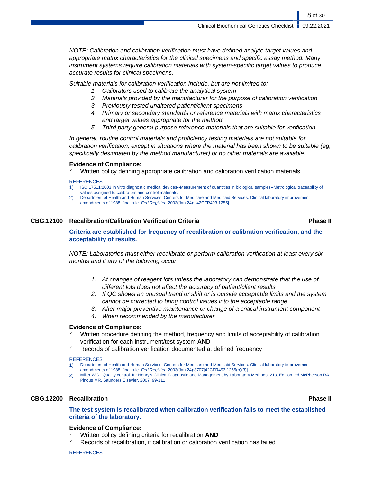NOTE: Calibration and calibration verification must have defined analyte target values and appropriate matrix characteristics for the clinical specimens and specific assay method. Many instrument systems require calibration materials with system-specific target values to produce accurate results for clinical specimens.

Suitable materials for calibration verification include, but are not limited to:

- 1 Calibrators used to calibrate the analytical system
- 2 Materials provided by the manufacturer for the purpose of calibration verification
- 3 Previously tested unaltered patient/client specimens
- 4 Primary or secondary standards or reference materials with matrix characteristics and target values appropriate for the method
- 5 Third party general purpose reference materials that are suitable for verification

In general, routine control materials and proficiency testing materials are not suitable for calibration verification, except in situations where the material has been shown to be suitable (eg, specifically designated by the method manufacturer) or no other materials are available.

#### **Evidence of Compliance:**

✓ Written policy defining appropriate calibration and calibration verification materials

#### **REFERENCES**

- 1) ISO 17511:2003 In vitro diagnostic medical devices--Measurement of quantities in biological samples--Metrological traceability of values assigned to calibrators and control materials.
- 2) Department of Health and Human Services, Centers for Medicare and Medicaid Services. Clinical laboratory improvement amendments of 1988; final rule. Fed Register. 2003(Jan 24): [42CFR493.1255]

#### **CBG.12100 Recalibration/Calibration Verification Criteria Phase II**

### **Criteria are established for frequency of recalibration or calibration verification, and the acceptability of results.**

NOTE: Laboratories must either recalibrate or perform calibration verification at least every six months and if any of the following occur:

- 1. At changes of reagent lots unless the laboratory can demonstrate that the use of different lots does not affect the accuracy of patient/client results
- 2. If QC shows an unusual trend or shift or is outside acceptable limits and the system cannot be corrected to bring control values into the acceptable range
- 3. After major preventive maintenance or change of a critical instrument component
- 4. When recommended by the manufacturer

### **Evidence of Compliance:**

- Written procedure defining the method, frequency and limits of acceptability of calibration verification for each instrument/test system **AND**
- Records of calibration verification documented at defined frequency

#### **REFERENCES**

- 1) Department of Health and Human Services, Centers for Medicare and Medicaid Services. Clinical laboratory improvement amendments of 1988; final rule. Fed Register. 2003(Jan 24):3707[42CFR493.1255(b)(3)]
- 2) Miller WG. Quality control. In: Henry's Clinical Diagnostic and Management by Laboratory Methods, 21st Edition, ed McPherson RA, Pincus MR. Saunders Elsevier, 2007: 99-111.

### **CBG.12200 Recalibration Phase II**

### **The test system is recalibrated when calibration verification fails to meet the established criteria of the laboratory.**

### **Evidence of Compliance:**

- Written policy defining criteria for recalibration **AND**
- Records of recalibration, if calibration or calibration verification has failed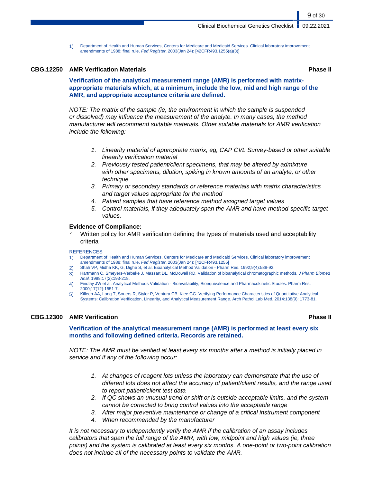1) Department of Health and Human Services, Centers for Medicare and Medicaid Services. Clinical laboratory improvement amendments of 1988; final rule. Fed Register. 2003(Jan 24): [42CFR493.1255(a)(3)]

#### **CBG.12250 AMR Verification Materials Phase II**

**Verification of the analytical measurement range (AMR) is performed with matrixappropriate materials which, at a minimum, include the low, mid and high range of the AMR, and appropriate acceptance criteria are defined.**

NOTE: The matrix of the sample (ie, the environment in which the sample is suspended or dissolved) may influence the measurement of the analyte. In many cases, the method manufacturer will recommend suitable materials. Other suitable materials for AMR verification include the following:

- 1. Linearity material of appropriate matrix, eg, CAP CVL Survey-based or other suitable linearity verification material
- 2. Previously tested patient/client specimens, that may be altered by admixture with other specimens, dilution, spiking in known amounts of an analyte, or other technique
- 3. Primary or secondary standards or reference materials with matrix characteristics and target values appropriate for the method
- 4. Patient samples that have reference method assigned target values
- 5. Control materials, if they adequately span the AMR and have method-specific target values.

#### **Evidence of Compliance:**

Written policy for AMR verification defining the types of materials used and acceptability criteria

#### **REFERENCES**

- 1) Department of Health and Human Services, Centers for Medicare and Medicaid Services. Clinical laboratory improvement amendments of 1988; final rule. Fed Register. 2003(Jan 24): [42CFR493.1255]
- 2) Shah VP, Midha KK, G, Dighe S, et al. Bioanalytical Method Validation Pharm Res. 1992;9(4):588-92.
- 3) Hartmann C, Smeyers-Verbeke J, Massart DL, McDowall RD. Validation of bioanalytical chromatographic methods. J Pharm Biomed Anal. 1998;17(2):193-218.
- 4) Findlay JW et al. Analytical Methods Validation Bioavailability, Bioequivalence and Pharmacokinetic Studies. Pharm Res. 2000;17(12):1551-7.
- 5) Killeen AA, Long T, Souers R, Styler P, Ventura CB, Klee GG. Verifying Performance Characteristics of Quantitative Analytical Systems: Calibration Verification, Linearity, and Analytical Measurement Range. Arch Pathol Lab Med. 2014:138(9): 1773-81.

#### **CBG.12300 AMR Verification Phase II**

**Verification of the analytical measurement range (AMR) is performed at least every six months and following defined criteria. Records are retained.**

NOTE: The AMR must be verified at least every six months after a method is initially placed in service and if any of the following occur:

- 1. At changes of reagent lots unless the laboratory can demonstrate that the use of different lots does not affect the accuracy of patient/client results, and the range used to report patient/client test data
- 2. If QC shows an unusual trend or shift or is outside acceptable limits, and the system cannot be corrected to bring control values into the acceptable range
- 3. After major preventive maintenance or change of a critical instrument component
- 4. When recommended by the manufacturer

It is not necessary to independently verify the AMR if the calibration of an assay includes calibrators that span the full range of the AMR, with low, midpoint and high values (ie, three points) and the system is calibrated at least every six months. A one-point or two-point calibration does not include all of the necessary points to validate the AMR.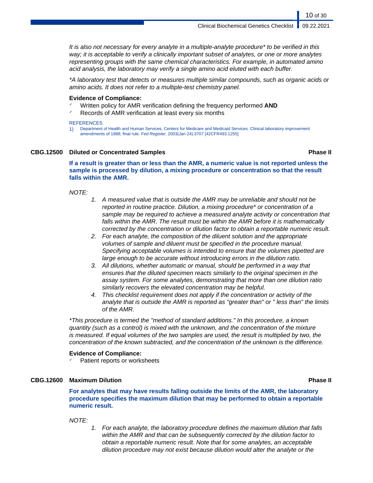It is also not necessary for every analyte in a multiple-analyte procedure\* to be verified in this way; it is acceptable to verify a clinically important subset of analytes, or one or more analytes representing groups with the same chemical characteristics. For example, in automated amino acid analysis, the laboratory may verify a single amino acid eluted with each buffer.

\*A laboratory test that detects or measures multiple similar compounds, such as organic acids or amino acids. It does not refer to a multiple-test chemistry panel.

#### **Evidence of Compliance:**

- ✓ Written policy for AMR verification defining the frequency performed **AND**
- $\sim$  Records of AMR verification at least every six months

#### **REFERENCES**

1) Department of Health and Human Services, Centers for Medicare and Medicaid Services. Clinical laboratory improvement amendments of 1988; final rule. Fed Register. 2003(Jan 24):3707 [42CFR493.1255]

#### **CBG.12500 Diluted or Concentrated Samples Phase II**

10 of 30

**If a result is greater than or less than the AMR, a numeric value is not reported unless the sample is processed by dilution, a mixing procedure or concentration so that the result falls within the AMR.**

NOTE:

- 1. A measured value that is outside the AMR may be unreliable and should not be reported in routine practice. Dilution, a mixing procedure\* or concentration of a sample may be required to achieve a measured analyte activity or concentration that falls within the AMR. The result must be within the AMR before it is mathematically corrected by the concentration or dilution factor to obtain a reportable numeric result.
- 2. For each analyte, the composition of the diluent solution and the appropriate volumes of sample and diluent must be specified in the procedure manual. Specifying acceptable volumes is intended to ensure that the volumes pipetted are large enough to be accurate without introducing errors in the dilution ratio.
- 3. All dilutions, whether automatic or manual, should be performed in a way that ensures that the diluted specimen reacts similarly to the original specimen in the assay system. For some analytes, demonstrating that more than one dilution ratio similarly recovers the elevated concentration may be helpful.
- 4. This checklist requirement does not apply if the concentration or activity of the analyte that is outside the AMR is reported as "greater than" or " less than" the limits of the AMR.

\*This procedure is termed the "method of standard additions." In this procedure, a known quantity (such as a control) is mixed with the unknown, and the concentration of the mixture is measured. If equal volumes of the two samples are used, the result is multiplied by two, the concentration of the known subtracted, and the concentration of the unknown is the difference.

### **Evidence of Compliance:**

Patient reports or worksheets

### **CBG.12600 Maximum Dilution Phase II**

**For analytes that may have results falling outside the limits of the AMR, the laboratory procedure specifies the maximum dilution that may be performed to obtain a reportable numeric result.**

NOTE:

1. For each analyte, the laboratory procedure defines the maximum dilution that falls within the AMR and that can be subsequently corrected by the dilution factor to obtain a reportable numeric result. Note that for some analytes, an acceptable dilution procedure may not exist because dilution would alter the analyte or the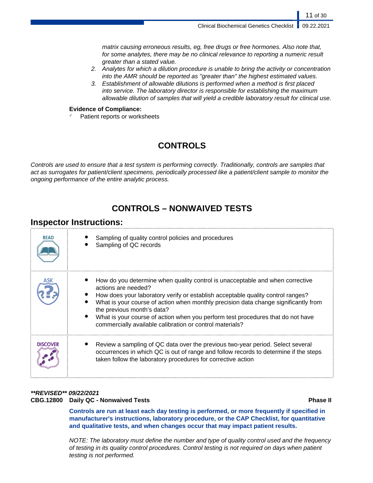matrix causing erroneous results, eg, free drugs or free hormones. Also note that, for some analytes, there may be no clinical relevance to reporting a numeric result greater than a stated value.

- 2. Analytes for which a dilution procedure is unable to bring the activity or concentration into the AMR should be reported as "greater than" the highest estimated values.
- 3. Establishment of allowable dilutions is performed when a method is first placed into service. The laboratory director is responsible for establishing the maximum allowable dilution of samples that will yield a credible laboratory result for clinical use.

### **Evidence of Compliance:**

Patient reports or worksheets

# **CONTROLS**

Controls are used to ensure that a test system is performing correctly. Traditionally, controls are samples that act as surrogates for patient/client specimens, periodically processed like a patient/client sample to monitor the ongoing performance of the entire analytic process.

# **CONTROLS – NONWAIVED TESTS**

## **Inspector Instructions:**

| <b>READ</b>     | Sampling of quality control policies and procedures<br>Sampling of QC records                                                                                                                                                                                                                                                                                                                                                                               |
|-----------------|-------------------------------------------------------------------------------------------------------------------------------------------------------------------------------------------------------------------------------------------------------------------------------------------------------------------------------------------------------------------------------------------------------------------------------------------------------------|
| ASK             | How do you determine when quality control is unacceptable and when corrective<br>actions are needed?<br>How does your laboratory verify or establish acceptable quality control ranges?<br>What is your course of action when monthly precision data change significantly from<br>the previous month's data?<br>What is your course of action when you perform test procedures that do not have<br>commercially available calibration or control materials? |
| <b>DISCOVER</b> | Review a sampling of QC data over the previous two-year period. Select several<br>occurrences in which QC is out of range and follow records to determine if the steps<br>taken follow the laboratory procedures for corrective action                                                                                                                                                                                                                      |

## **\*\*REVISED\*\* 09/22/2021 CBG.12800 Daily QC - Nonwaived Tests Phase II**

**Controls are run at least each day testing is performed, or more frequently if specified in manufacturer's instructions, laboratory procedure, or the CAP Checklist, for quantitative and qualitative tests, and when changes occur that may impact patient results.**

NOTE: The laboratory must define the number and type of quality control used and the frequency of testing in its quality control procedures. Control testing is not required on days when patient testing is not performed.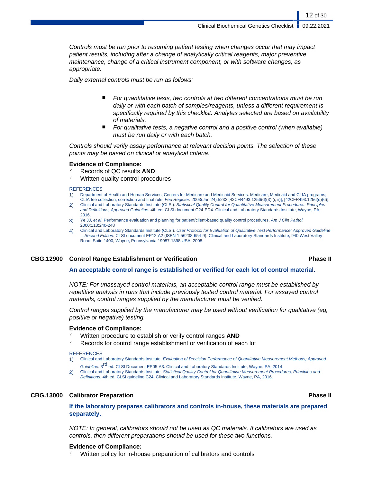Controls must be run prior to resuming patient testing when changes occur that may impact patient results, including after a change of analytically critical reagents, major preventive maintenance, change of a critical instrument component, or with software changes, as appropriate.

Daily external controls must be run as follows:

- For quantitative tests, two controls at two different concentrations must be run daily or with each batch of samples/reagents, unless a different requirement is specifically required by this checklist. Analytes selected are based on availability of materials.
- For qualitative tests, a negative control and a positive control (when available) must be run daily or with each batch.

Controls should verify assay performance at relevant decision points. The selection of these points may be based on clinical or analytical criteria.

#### **Evidence of Compliance:**

- ✓ Records of QC results **AND**
- ✓ Written quality control procedures

#### **REFERENCES**

- 1) Department of Health and Human Services, Centers for Medicare and Medicaid Services. Medicare, Medicaid and CLIA programs; CLIA fee collection; correction and final rule. Fed Register. 2003(Jan 24):5232 [42CFR493.1256(d)(3) (i, ii)], [42CFR493.1256(d)(6)].
- 2) Clinical and Laboratory Standards Institute (CLSI). Statistical Quality Control for Quantitative Measurement Procedures: Principles and Definitions; Approved Guideline. 4th ed. CLSI document C24-ED4. Clinical and Laboratory Standards Institute, Wayne, PA, 2016.
- 3) Ye JJ, et al. Performance evaluation and planning for patient/client-based quality control procedures. Am J Clin Pathol. 2000;113:240-248
- 4) Clinical and Laboratory Standards Institute (CLSI). User Protocol for Evaluation of Qualitative Test Performance; Approved Guideline —Second Edition. CLSI document EP12-A2 (ISBN 1-56238-654-9). Clinical and Laboratory Standards Institute, 940 West Valley Road, Suite 1400, Wayne, Pennsylvania 19087-1898 USA, 2008.

#### **CBG.12900 Control Range Establishment or Verification Phase II**

### **An acceptable control range is established or verified for each lot of control material.**

NOTE: For unassayed control materials, an acceptable control range must be established by repetitive analysis in runs that include previously tested control material. For assayed control materials, control ranges supplied by the manufacturer must be verified.

Control ranges supplied by the manufacturer may be used without verification for qualitative (eg, positive or negative) testing.

#### **Evidence of Compliance:**

- Written procedure to establish or verify control ranges **AND**
- Records for control range establishment or verification of each lot

#### **REFERENCES**

- 1) Clinical and Laboratory Standards Institute. Evaluation of Precision Performance of Quantitative Measurement Methods; Approved Guideline. 3<sup>rd</sup> ed. CLSI Document EP05-A3. Clinical and Laboratory Standards Institute, Wayne, PA; 2014
- 2) Clinical and Laboratory Standards Institute. Statistical Quality Control for Quantitative Measurement Procedures, Principles and Definitions. 4th ed. CLSI guideline C24. Clinical and Laboratory Standards Institute, Wayne, PA, 2016.

### **CBG.13000 Calibrator Preparation Phase II**

**If the laboratory prepares calibrators and controls in-house, these materials are prepared separately.**

NOTE: In general, calibrators should not be used as QC materials. If calibrators are used as controls, then different preparations should be used for these two functions.

#### **Evidence of Compliance:**

Written policy for in-house preparation of calibrators and controls

12 of 30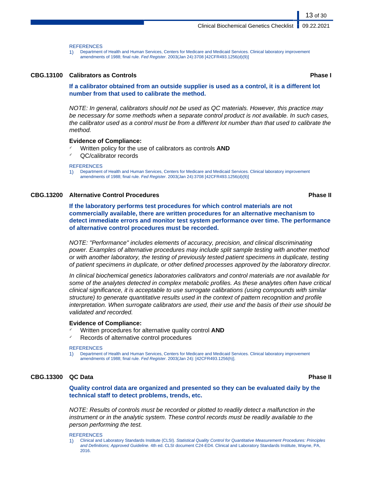**REFERENCES** 

1) Department of Health and Human Services, Centers for Medicare and Medicaid Services. Clinical laboratory improvement amendments of 1988; final rule. Fed Register. 2003(Jan 24):3708 [42CFR493.1256(d)(9)]

#### **CBG.13100 Calibrators as Controls Phase I**

13 of 30

**If a calibrator obtained from an outside supplier is used as a control, it is a different lot number from that used to calibrate the method.**

NOTE: In general, calibrators should not be used as QC materials. However, this practice may be necessary for some methods when a separate control product is not available. In such cases, the calibrator used as a control must be from a different lot number than that used to calibrate the method.

#### **Evidence of Compliance:**

- Written policy for the use of calibrators as controls **AND**
- ✓ QC/calibrator records

#### **REFERENCES**

1) Department of Health and Human Services, Centers for Medicare and Medicaid Services. Clinical laboratory improvement amendments of 1988; final rule. Fed Register. 2003(Jan 24):3708 [42CFR493.1256(d)(9)]

#### **CBG.13200 Alternative Control Procedures Phase II**

**If the laboratory performs test procedures for which control materials are not commercially available, there are written procedures for an alternative mechanism to detect immediate errors and monitor test system performance over time. The performance of alternative control procedures must be recorded.**

NOTE: "Performance" includes elements of accuracy, precision, and clinical discriminating power. Examples of alternative procedures may include split sample testing with another method or with another laboratory, the testing of previously tested patient specimens in duplicate, testing of patient specimens in duplicate, or other defined processes approved by the laboratory director.

In clinical biochemical genetics laboratories calibrators and control materials are not available for some of the analytes detected in complex metabolic profiles. As these analytes often have critical clinical significance, it is acceptable to use surrogate calibrations (using compounds with similar structure) to generate quantitative results used in the context of pattern recognition and profile interpretation. When surrogate calibrators are used, their use and the basis of their use should be validated and recorded.

#### **Evidence of Compliance:**

- ✓ Written procedures for alternative quality control **AND**
- Records of alternative control procedures

#### **REFERENCES**

1) Department of Health and Human Services, Centers for Medicare and Medicaid Services. Clinical laboratory improvement amendments of 1988; final rule. Fed Register. 2003(Jan 24): [42CFR493.1256(h)].

#### **CBG.13300 QC Data Phase II**

**Quality control data are organized and presented so they can be evaluated daily by the technical staff to detect problems, trends, etc.**

NOTE: Results of controls must be recorded or plotted to readily detect a malfunction in the instrument or in the analytic system. These control records must be readily available to the person performing the test.

#### **REFERENCES**

<sup>1)</sup> Clinical and Laboratory Standards Institute (CLSI). Statistical Quality Control for Quantitative Measurement Procedures: Principles and Definitions; Approved Guideline. 4th ed. CLSI document C24-ED4. Clinical and Laboratory Standards Institute, Wayne, PA, 2016.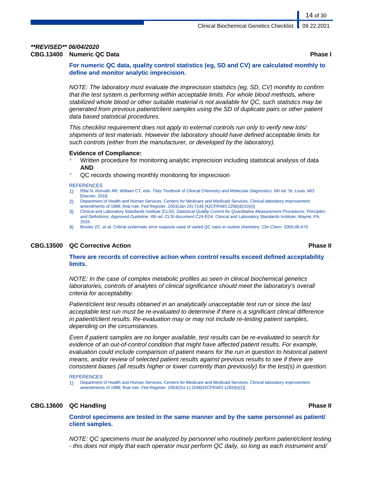## **\*\*REVISED\*\* 06/04/2020**

**CBG.13400 Numeric QC Data Phase I**

**For numeric QC data, quality control statistics (eg, SD and CV) are calculated monthly to define and monitor analytic imprecision.**

NOTE: The laboratory must evaluate the imprecision statistics (eg, SD, CV) monthly to confirm that the test system is performing within acceptable limits. For whole blood methods, where stabilized whole blood or other suitable material is not available for QC, such statistics may be generated from previous patient/client samples using the SD of duplicate pairs or other patient data based statistical procedures.

This checklist requirement does not apply to external controls run only to verify new lots/ shipments of test materials. However the laboratory should have defined acceptable limits for such controls (either from the manufacturer, or developed by the laboratory).

#### **Evidence of Compliance:**

- Written procedure for monitoring analytic imprecision including statistical analysis of data **AND**
- QC records showing monthly monitoring for imprecision

#### **REFERENCES**

- 1) Rifai N, Horvath AR, Wittwer CT, eds. Tietz Textbook of Clinical Chemistry and Molecular Diagnostics. 6th ed. St. Louis, MO: Elsevier; 2018.
- 2) Department of Health and Human Services, Centers for Medicare and Medicaid Services. Clinical laboratory improvement amendments of 1988; final rule. Fed Register. 2003(Jan 24):7146 [42CFR493.1256(d)(10)(i)]
- 3) Clinical and Laboratory Standards Institute (CLSI). Statistical Quality Control for Quantitative Measurement Procedures: Principles and Definitions; Approved Guideline. 4th ed. CLSI document C24-ED4. Clinical and Laboratory Standards Institute, Wayne, PA, 2016.
- 4) Brooks ZC, et al. Critical systematic error supports used of varied QC rules in routine chemistry. Clin Chem. 2000;46:A70

### **CBG.13500 QC Corrective Action Phase II**

#### **There are records of corrective action when control results exceed defined acceptability limits.**

NOTE: In the case of complex metabolic profiles as seen in clinical biochemical genetics laboratories, controls of analytes of clinical significance should meet the laboratory's overall criteria for acceptability.

Patient/client test results obtained in an analytically unacceptable test run or since the last acceptable test run must be re-evaluated to determine if there is a significant clinical difference in patient/client results. Re-evaluation may or may not include re-testing patient samples, depending on the circumstances.

Even if patient samples are no longer available, test results can be re-evaluated to search for evidence of an out-of-control condition that might have affected patient results. For example, evaluation could include comparison of patient means for the run in question to historical patient means, and/or review of selected patient results against previous results to see if there are consistent biases (all results higher or lower currently than previously) for the test(s) in question.

#### **REFERENCES**

1) Department of Health and Human Services, Centers for Medicare and Medicaid Services. Clinical laboratory improvement amendments of 1988; final rule. Fed Register. 2003(Oct 1):1046[42CFR493.1282(b)(2)]

#### **CBG.13600 QC Handling Phase II**

**Control specimens are tested in the same manner and by the same personnel as patient/ client samples.**

NOTE: QC specimens must be analyzed by personnel who routinely perform patient/client testing - this does not imply that each operator must perform QC daily, so long as each instrument and/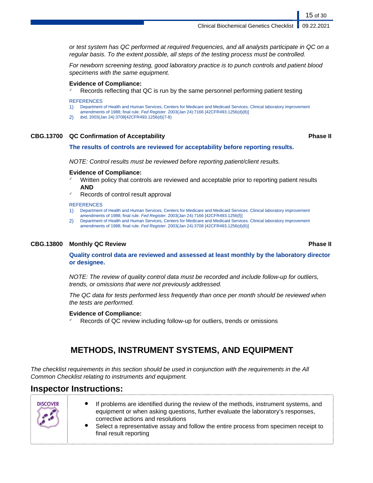or test system has QC performed at required frequencies, and all analysts participate in QC on a regular basis. To the extent possible, all steps of the testing process must be controlled.

For newborn screening testing, good laboratory practice is to punch controls and patient blood specimens with the same equipment.

#### **Evidence of Compliance:**

Records reflecting that QC is run by the same personnel performing patient testing

#### **REFERENCES**

- 1) Department of Health and Human Services, Centers for Medicare and Medicaid Services. Clinical laboratory improvement
- amendments of 1988; final rule. Fed Register. 2003(Jan 24):7166 [42CFR493.1256(d)(8)]
- 2) ibid, 2003(Jan 24):3708[42CFR493.1256(d)(7-8)

#### **CBG.13700 QC Confirmation of Acceptability Phase II**

#### **The results of controls are reviewed for acceptability before reporting results.**

NOTE: Control results must be reviewed before reporting patient/client results.

### **Evidence of Compliance:**

- Written policy that controls are reviewed and acceptable prior to reporting patient results **AND**
- Records of control result approval

#### **REFERENCES**

- 1) Department of Health and Human Services, Centers for Medicare and Medicaid Services. Clinical laboratory improvement amendments of 1988; final rule. Fed Register. 2003(Jan 24):7166 [42CFR493.1256(f)]
- 2) Department of Health and Human Services, Centers for Medicare and Medicaid Services. Clinical laboratory improvement amendments of 1988; final rule. Fed Register. 2003(Jan 24):3708 [42CFR493.1256(d)(6)]

#### **CBG.13800 Monthly QC Review Phase II**

**Quality control data are reviewed and assessed at least monthly by the laboratory director or designee.**

NOTE: The review of quality control data must be recorded and include follow-up for outliers, trends, or omissions that were not previously addressed.

The QC data for tests performed less frequently than once per month should be reviewed when the tests are performed.

#### **Evidence of Compliance:**

Records of QC review including follow-up for outliers, trends or omissions

# **METHODS, INSTRUMENT SYSTEMS, AND EQUIPMENT**

The checklist requirements in this section should be used in conjunction with the requirements in the All Common Checklist relating to instruments and equipment.

## **Inspector Instructions:**

**DISCOVER** 

| If problems are identified during the review of the methods, instrument systems, and |
|--------------------------------------------------------------------------------------|
| equipment or when asking questions, further evaluate the laboratory's responses,     |
| corrective actions and resolutions                                                   |

Select a representative assay and follow the entire process from specimen receipt to final result reporting

15 of 30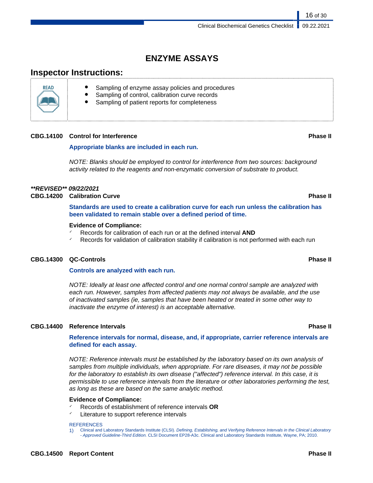# **ENZYME ASSAYS**

# **Inspector Instructions:**

- Sampling of enzyme assay policies and procedures
- Sampling of control, calibration curve records
- Sampling of patient reports for completeness

### **CBG.14100 Control for Interference Phase II**

### **Appropriate blanks are included in each run.**

NOTE: Blanks should be employed to control for interference from two sources: background activity related to the reagents and non-enzymatic conversion of substrate to product.

### **\*\*REVISED\*\* 09/22/2021**

**CBG.14200 Calibration Curve Phase II**

**Standards are used to create a calibration curve for each run unless the calibration has been validated to remain stable over a defined period of time.**

#### **Evidence of Compliance:**

- ✓ Records for calibration of each run or at the defined interval **AND**
- $\checkmark$  Records for validation of calibration stability if calibration is not performed with each run

### **CBG.14300 QC-Controls Phase II**

### **Controls are analyzed with each run.**

NOTE: Ideally at least one affected control and one normal control sample are analyzed with each run. However, samples from affected patients may not always be available, and the use of inactivated samples (ie, samples that have been heated or treated in some other way to inactivate the enzyme of interest) is an acceptable alternative.

### **CBG.14400 Reference Intervals Phase II**

**Reference intervals for normal, disease, and, if appropriate, carrier reference intervals are defined for each assay.**

NOTE: Reference intervals must be established by the laboratory based on its own analysis of samples from multiple individuals, when appropriate. For rare diseases, it may not be possible for the laboratory to establish its own disease ("affected") reference interval. In this case, it is permissible to use reference intervals from the literature or other laboratories performing the test, as long as these are based on the same analytic method.

#### **Evidence of Compliance:**

- ✓ Records of establishment of reference intervals **OR**
- Literature to support reference intervals

#### **REFERENCES**

1) Clinical and Laboratory Standards Institute (CLSI). Defining, Establishing, and Verifying Reference Intervals in the Clinical Laboratory - Approved Guideline-Third Edition. CLSI Document EP28-A3c. Clinical and Laboratory Standards Institute, Wayne, PA; 2010.

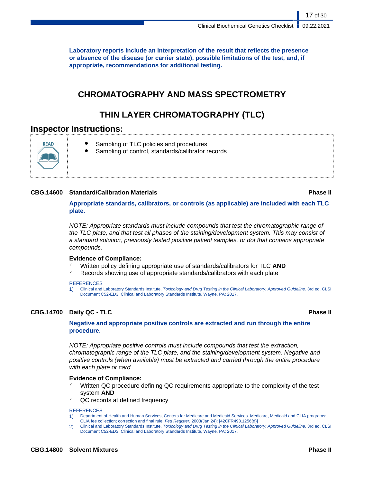**Laboratory reports include an interpretation of the result that reflects the presence or absence of the disease (or carrier state), possible limitations of the test, and, if appropriate, recommendations for additional testing.**

# **CHROMATOGRAPHY AND MASS SPECTROMETRY**

# **THIN LAYER CHROMATOGRAPHY (TLC)**

## **Inspector Instructions:**



- Sampling of TLC policies and procedures
- Sampling of control, standards/calibrator records

### **CBG.14600 Standard/Calibration Materials Phase II**

17 of 30

**Appropriate standards, calibrators, or controls (as applicable) are included with each TLC plate.**

NOTE: Appropriate standards must include compounds that test the chromatographic range of the TLC plate, and that test all phases of the staining/development system. This may consist of a standard solution, previously tested positive patient samples, or dot that contains appropriate compounds.

### **Evidence of Compliance:**

- Written policy defining appropriate use of standards/calibrators for TLC AND
- Records showing use of appropriate standards/calibrators with each plate

#### **REFERENCES**

1) Clinical and Laboratory Standards Institute. Toxicology and Drug Testing in the Clinical Laboratory; Approved Guideline. 3rd ed. CLSI Document C52-ED3. Clinical and Laboratory Standards Institute, Wayne, PA; 2017.

### **CBG.14700 Daily QC - TLC Phase II**

### **Negative and appropriate positive controls are extracted and run through the entire procedure.**

NOTE: Appropriate positive controls must include compounds that test the extraction, chromatographic range of the TLC plate, and the staining/development system. Negative and positive controls (when available) must be extracted and carried through the entire procedure with each plate or card.

### **Evidence of Compliance:**

- Written QC procedure defining QC requirements appropriate to the complexity of the test system **AND**
- QC records at defined frequency

#### **REFERENCES**

- 1) Department of Health and Human Services, Centers for Medicare and Medicaid Services. Medicare, Medicaid and CLIA programs; CLIA fee collection; correction and final rule. Fed Register. 2003(Jan 24): [42CFR493.1256(d)]
- 2) Clinical and Laboratory Standards Institute. Toxicology and Drug Testing in the Clinical Laboratory; Approved Guideline. 3rd ed. CLSI Document C52-ED3. Clinical and Laboratory Standards Institute, Wayne, PA; 2017.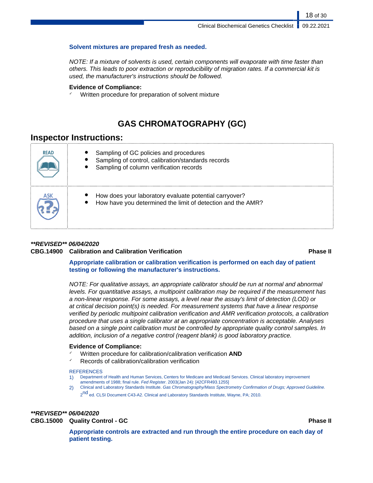### **Solvent mixtures are prepared fresh as needed.**

NOTE: If a mixture of solvents is used, certain components will evaporate with time faster than others. This leads to poor extraction or reproducibility of migration rates. If a commercial kit is used, the manufacturer's instructions should be followed.

#### **Evidence of Compliance:**

✓ Written procedure for preparation of solvent mixture

# **GAS CHROMATOGRAPHY (GC)**

## **Inspector Instructions:**

| <b>READ</b> | Sampling of GC policies and procedures<br>Sampling of control, calibration/standards records<br>Sampling of column verification records |
|-------------|-----------------------------------------------------------------------------------------------------------------------------------------|
|             | How does your laboratory evaluate potential carryover?<br>How have you determined the limit of detection and the AMR?                   |

## **\*\*REVISED\*\* 06/04/2020**

### **CBG.14900 Calibration and Calibration Verification Phase II**

18 of 30

### **Appropriate calibration or calibration verification is performed on each day of patient testing or following the manufacturer's instructions.**

NOTE: For qualitative assays, an appropriate calibrator should be run at normal and abnormal levels. For quantitative assays, a multipoint calibration may be required if the measurement has a non-linear response. For some assays, a level near the assay's limit of detection (LOD) or at critical decision point(s) is needed. For measurement systems that have a linear response verified by periodic multipoint calibration verification and AMR verification protocols, a calibration procedure that uses a single calibrator at an appropriate concentration is acceptable. Analyses based on a single point calibration must be controlled by appropriate quality control samples. In addition, inclusion of a negative control (reagent blank) is good laboratory practice.

### **Evidence of Compliance:**

- ✓ Written procedure for calibration/calibration verification **AND**
- ✓ Records of calibration/calibration verification

#### **REFERENCES**

- 1) Department of Health and Human Services, Centers for Medicare and Medicaid Services. Clinical laboratory improvement amendments of 1988; final rule. Fed Register. 2003(Jan 24): [42CFR493.1255]
- 2) Clinical and Laboratory Standards Institute. Gas Chromatography/Mass Spectrometry Confirmation of Drugs; Approved Guideline. 2<sup>nd</sup> ed. CLSI Document C43-A2. Clinical and Laboratory Standards Institute, Wayne, PA; 2010.

**\*\*REVISED\*\* 06/04/2020 CBG.15000 Quality Control - GC Phase II**

**Appropriate controls are extracted and run through the entire procedure on each day of patient testing.**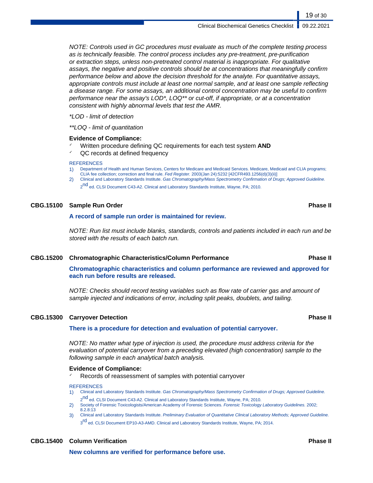NOTE: Controls used in GC procedures must evaluate as much of the complete testing process as is technically feasible. The control process includes any pre-treatment, pre-purification or extraction steps, unless non-pretreated control material is inappropriate. For qualitative assays, the negative and positive controls should be at concentrations that meaningfully confirm performance below and above the decision threshold for the analyte. For quantitative assays, appropriate controls must include at least one normal sample, and at least one sample reflecting a disease range. For some assays, an additional control concentration may be useful to confirm performance near the assay's LOD\*, LOQ\*\* or cut-off, if appropriate, or at a concentration consistent with highly abnormal levels that test the AMR.

\*LOD - limit of detection

\*\*LOQ - limit of quantitation

#### **Evidence of Compliance:**

- ✓ Written procedure defining QC requirements for each test system **AND**
- $\sqrt{Q}$  records at defined frequency

#### **REFERENCES**

- 1) Department of Health and Human Services, Centers for Medicare and Medicaid Services. Medicare, Medicaid and CLIA programs; CLIA fee collection; correction and final rule. Fed Register. 2003(Jan 24):5232 [42CFR493.1256(d)(3)(ii)]
- 2) Clinical and Laboratory Standards Institute. Gas Chromatography/Mass Spectrometry Confirmation of Drugs; Approved Guideline.
	- 2<sup>nd</sup> ed. CLSI Document C43-A2. Clinical and Laboratory Standards Institute, Wayne, PA; 2010.

#### **CBG.15100 Sample Run Order Phase II**

#### **A record of sample run order is maintained for review.**

NOTE: Run list must include blanks, standards, controls and patients included in each run and be stored with the results of each batch run.

#### **CBG.15200 Chromatographic Characteristics/Column Performance Phase II**

**Chromatographic characteristics and column performance are reviewed and approved for each run before results are released.**

NOTE: Checks should record testing variables such as flow rate of carrier gas and amount of sample injected and indications of error, including split peaks, doublets, and tailing.

#### **CBG.15300 Carryover Detection Phase II**

#### **There is a procedure for detection and evaluation of potential carryover.**

NOTE: No matter what type of injection is used, the procedure must address criteria for the evaluation of potential carryover from a preceding elevated (high concentration) sample to the following sample in each analytical batch analysis.

#### **Evidence of Compliance:**

Records of reassessment of samples with potential carryover

#### REFERENCES

- 1) Clinical and Laboratory Standards Institute. Gas Chromatography/Mass Spectrometry Confirmation of Drugs; Approved Guideline. 2<sup>nd</sup> ed. CLSI Document C43-A2. Clinical and Laboratory Standards Institute, Wayne, PA; 2010.
- 2) Society of Forensic Toxicologists/American Academy of Forensic Sciences. Forensic Toxicology Laboratory Guidelines. 2002; 8.2.8:13
- 3) Clinical and Laboratory Standards Institute. Preliminary Evaluation of Quantitative Clinical Laboratory Methods; Approved Guideline. 3<sup>rd</sup> ed. CLSI Document EP10-A3-AMD. Clinical and Laboratory Standards Institute, Wayne, PA; 2014.

#### **CBG.15400 Column Verification Phase II**

**New columns are verified for performance before use.**

19 of 30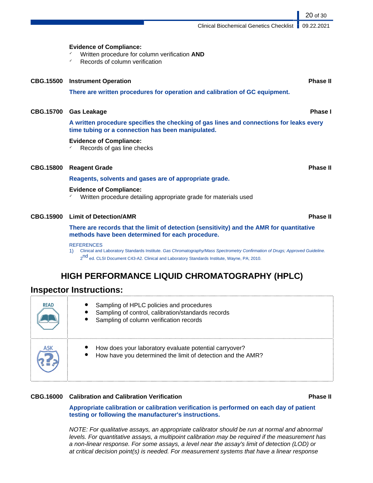**Evidence of Compliance:** ✓ Written procedure for column verification **AND** Records of column verification **CBG.15500 Instrument Operation Phase II There are written procedures for operation and calibration of GC equipment. CBG.15700 Gas Leakage Phase I A written procedure specifies the checking of gas lines and connections for leaks every time tubing or a connection has been manipulated. Evidence of Compliance:**  $\checkmark$  Records of gas line checks **CBG.15800 Reagent Grade Phase II Reagents, solvents and gases are of appropriate grade. Evidence of Compliance:** ✓ Written procedure detailing appropriate grade for materials used **CBG.15900 Limit of Detection/AMR Phase II**

> **There are records that the limit of detection (sensitivity) and the AMR for quantitative methods have been determined for each procedure.**

#### **REFERENCES**

1) Clinical and Laboratory Standards Institute. Gas Chromatography/Mass Spectrometry Confirmation of Drugs; Approved Guideline. 2<sup>nd</sup> ed. CLSI Document C43-A2. Clinical and Laboratory Standards Institute, Wayne, PA; 2010.

# **HIGH PERFORMANCE LIQUID CHROMATOGRAPHY (HPLC)**

## **Inspector Instructions:**

| <b>READ</b> | Sampling of HPLC policies and procedures<br>Sampling of control, calibration/standards records<br>Sampling of column verification records |
|-------------|-------------------------------------------------------------------------------------------------------------------------------------------|
|             | How does your laboratory evaluate potential carryover?<br>How have you determined the limit of detection and the AMR?                     |

### **CBG.16000 Calibration and Calibration Verification Phase II**

**Appropriate calibration or calibration verification is performed on each day of patient testing or following the manufacturer's instructions.**

NOTE: For qualitative assays, an appropriate calibrator should be run at normal and abnormal levels. For quantitative assays, a multipoint calibration may be required if the measurement has a non-linear response. For some assays, a level near the assay's limit of detection (LOD) or at critical decision point(s) is needed. For measurement systems that have a linear response

Clinical Biochemical Genetics Checklist 09.22.2021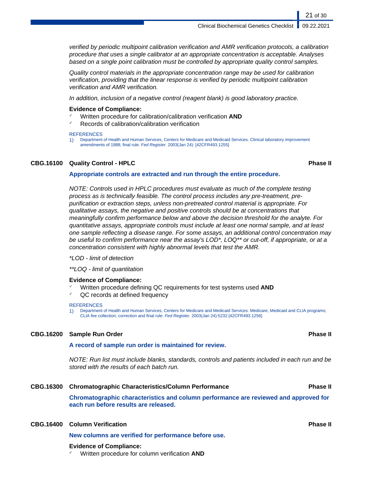verified by periodic multipoint calibration verification and AMR verification protocols, a calibration procedure that uses a single calibrator at an appropriate concentration is acceptable. Analyses based on a single point calibration must be controlled by appropriate quality control samples.

Quality control materials in the appropriate concentration range may be used for calibration verification, providing that the linear response is verified by periodic multipoint calibration verification and AMR verification.

In addition, inclusion of a negative control (reagent blank) is good laboratory practice.

#### **Evidence of Compliance:**

- ✓ Written procedure for calibration/calibration verification **AND**
- Records of calibration/calibration verification

#### **REFERENCES**

1) Department of Health and Human Services, Centers for Medicare and Medicaid Services. Clinical laboratory improvement amendments of 1988; final rule. Fed Register. 2003(Jan 24): [42CFR493.1255]

#### **CBG.16100 Quality Control - HPLC Phase II**

21 of 30

#### **Appropriate controls are extracted and run through the entire procedure.**

NOTE: Controls used in HPLC procedures must evaluate as much of the complete testing process as is technically feasible. The control process includes any pre-treatment, prepurification or extraction steps, unless non-pretreated control material is appropriate. For qualitative assays, the negative and positive controls should be at concentrations that meaningfully confirm performance below and above the decision threshold for the analyte. For quantitative assays, appropriate controls must include at least one normal sample, and at least one sample reflecting a disease range. For some assays, an additional control concentration may be useful to confirm performance near the assay's LOD\*, LOQ\*\* or cut-off, if appropriate, or at a concentration consistent with highly abnormal levels that test the AMR.

#### \*LOD - limit of detection

\*\*LOQ - limit of quantitation

#### **Evidence of Compliance:**

- ✓ Written procedure defining QC requirements for test systems used **AND**
- ✓ QC records at defined frequency

#### **REFERENCES**

1) Department of Health and Human Services, Centers for Medicare and Medicaid Services. Medicare, Medicaid and CLIA programs; CLIA fee collection; correction and final rule. Fed Register. 2003(Jan 24):5232 [42CFR493.1256]

#### **CBG.16200 Sample Run Order Phase II**

### **A record of sample run order is maintained for review.**

NOTE: Run list must include blanks, standards, controls and patients included in each run and be stored with the results of each batch run.

#### **CBG.16300 Chromatographic Characteristics/Column Performance Phase II**

**Chromatographic characteristics and column performance are reviewed and approved for each run before results are released.**

#### **CBG.16400 Column Verification Phase II**

**New columns are verified for performance before use.**

#### **Evidence of Compliance:**

✓ Written procedure for column verification **AND**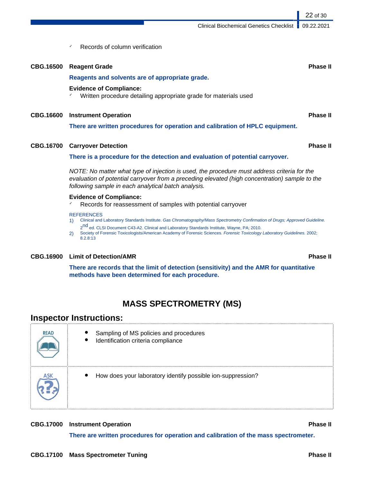Clinical Biochemical Genetics Checklist 09.22.2021

22 of 30

Records of column verification

| <b>CBG.16500</b> | <b>Reagent Grade</b>                                                                               | <b>Phase II</b> |
|------------------|----------------------------------------------------------------------------------------------------|-----------------|
|                  | Reagents and solvents are of appropriate grade.                                                    |                 |
|                  | <b>Evidence of Compliance:</b><br>Written procedure detailing appropriate grade for materials used |                 |
| <b>CBG.16600</b> | <b>Instrument Operation</b>                                                                        | <b>Phase II</b> |
|                  | There are written procedures for operation and calibration of HPLC equipment.                      |                 |
| <b>CBG.16700</b> | <b>Carryover Detection</b>                                                                         | <b>Phase II</b> |
|                  | There is a procedure for the detection and evaluation of potential carryover.                      |                 |

NOTE: No matter what type of injection is used, the procedure must address criteria for the evaluation of potential carryover from a preceding elevated (high concentration) sample to the following sample in each analytical batch analysis.

#### **Evidence of Compliance:**

✓ Records for reassessment of samples with potential carryover

#### **REFERENCES**

- 1) Clinical and Laboratory Standards Institute. Gas Chromatography/Mass Spectrometry Confirmation of Drugs; Approved Guideline. 2<sup>nd</sup> ed. CLSI Document C43-A2. Clinical and Laboratory Standards Institute, Wayne, PA; 2010.
- 2) Society of Forensic Toxicologists/American Academy of Forensic Sciences. Forensic Toxicology Laboratory Guidelines. 2002; 8.2.8:13

### **CBG.16900 Limit of Detection/AMR Phase II**

**There are records that the limit of detection (sensitivity) and the AMR for quantitative**

**methods have been determined for each procedure.**

# **MASS SPECTROMETRY (MS)**

## **Inspector Instructions:**

| <b>READ</b> | Sampling of MS policies and procedures<br>Identification criteria compliance<br>$\bullet$ |
|-------------|-------------------------------------------------------------------------------------------|
|             | How does your laboratory identify possible ion-suppression?                               |

### **CBG.17000 Instrument Operation Phase II**

**There are written procedures for operation and calibration of the mass spectrometer.**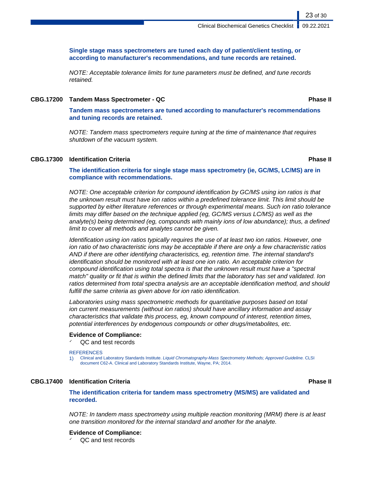**Single stage mass spectrometers are tuned each day of patient/client testing, or according to manufacturer's recommendations, and tune records are retained.**

NOTE: Acceptable tolerance limits for tune parameters must be defined, and tune records retained.

#### **CBG.17200 Tandem Mass Spectrometer - QC Phase II**

**Tandem mass spectrometers are tuned according to manufacturer's recommendations and tuning records are retained.**

NOTE: Tandem mass spectrometers require tuning at the time of maintenance that requires shutdown of the vacuum system.

#### **CBG.17300 Identification Criteria Phase II**

23 of 30

**The identification criteria for single stage mass spectrometry (ie, GC/MS, LC/MS) are in compliance with recommendations.**

NOTE: One acceptable criterion for compound identification by GC/MS using ion ratios is that the unknown result must have ion ratios within a predefined tolerance limit. This limit should be supported by either literature references or through experimental means. Such ion ratio tolerance limits may differ based on the technique applied (eg, GC/MS versus LC/MS) as well as the analyte(s) being determined (eg, compounds with mainly ions of low abundance); thus, a defined limit to cover all methods and analytes cannot be given.

Identification using ion ratios typically requires the use of at least two ion ratios. However, one ion ratio of two characteristic ions may be acceptable if there are only a few characteristic ratios AND if there are other identifying characteristics, eg, retention time. The internal standard's identification should be monitored with at least one ion ratio. An acceptable criterion for compound identification using total spectra is that the unknown result must have a "spectral match" quality or fit that is within the defined limits that the laboratory has set and validated. Ion ratios determined from total spectra analysis are an acceptable identification method, and should fulfill the same criteria as given above for ion ratio identification.

Laboratories using mass spectrometric methods for quantitative purposes based on total ion current measurements (without ion ratios) should have ancillary information and assay characteristics that validate this process, eg, known compound of interest, retention times, potential interferences by endogenous compounds or other drugs/metabolites, etc.

#### **Evidence of Compliance:**

QC and test records

#### **REFERENCES**

1) Clinical and Laboratory Standards Institute. Liquid Chromatography-Mass Spectrometry Methods; Approved Guideline. CLSI document C62-A. Clinical and Laboratory Standards Institute, Wayne, PA; 2014.

#### **CBG.17400 Identification Criteria Phase II**

**The identification criteria for tandem mass spectrometry (MS/MS) are validated and recorded.**

NOTE: In tandem mass spectrometry using multiple reaction monitoring (MRM) there is at least one transition monitored for the internal standard and another for the analyte.

#### **Evidence of Compliance:**

QC and test records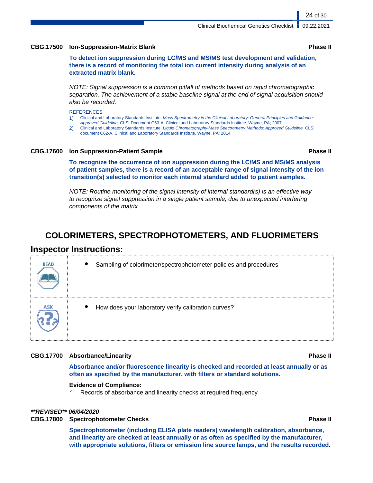#### **CBG.17500 Ion-Suppression-Matrix Blank Phase II**

**To detect ion suppression during LC/MS and MS/MS test development and validation, there is a record of monitoring the total ion current intensity during analysis of an extracted matrix blank.**

NOTE: Signal suppression is a common pitfall of methods based on rapid chromatographic separation. The achievement of a stable baseline signal at the end of signal acquisition should also be recorded.

#### **REFERENCES**

1) Clinical and Laboratory Standards Institute. Mass Spectrometry in the Clinical Laboratory: General Principles and Guidance;

- Approved Guideline. CLSI Document C50-A. Clinical and Laboratory Standards Institute, Wayne, PA; 2007.
- 2) Clinical and Laboratory Standards Institute. Liquid Chromatography-Mass Spectrometry Methods; Approved Guideline. CLSI document C62-A. Clinical and Laboratory Standards Institute, Wayne, PA; 2014.

#### **CBG.17600 Ion Suppression-Patient Sample Phase II**

**To recognize the occurrence of ion suppression during the LC/MS and MS/MS analysis of patient samples, there is a record of an acceptable range of signal intensity of the ion transition(s) selected to monitor each internal standard added to patient samples.**

NOTE: Routine monitoring of the signal intensity of internal standard(s) is an effective way to recognize signal suppression in a single patient sample, due to unexpected interfering components of the matrix.

# **COLORIMETERS, SPECTROPHOTOMETERS, AND FLUORIMETERS**

## **Inspector Instructions:**

| <b>READ</b> | Sampling of colorimeter/spectrophotometer policies and procedures |
|-------------|-------------------------------------------------------------------|
|             | How does your laboratory verify calibration curves?               |

### **CBG.17700 Absorbance/Linearity Phase II**

**Absorbance and/or fluorescence linearity is checked and recorded at least annually or as often as specified by the manufacturer, with filters or standard solutions.**

#### **Evidence of Compliance:**

Records of absorbance and linearity checks at required frequency

### **\*\*REVISED\*\* 06/04/2020**

### **CBG.17800 Spectrophotometer Checks Phase II**

**Spectrophotometer (including ELISA plate readers) wavelength calibration, absorbance, and linearity are checked at least annually or as often as specified by the manufacturer, with appropriate solutions, filters or emission line source lamps, and the results recorded.**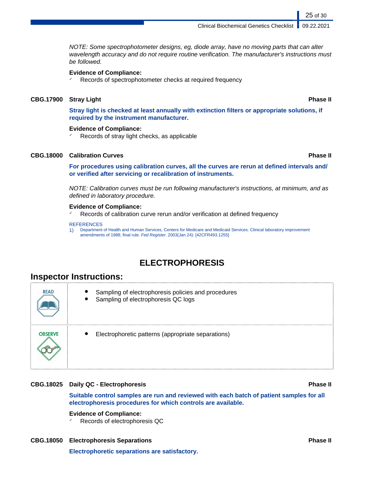#### Clinical Biochemical Genetics Checklist 09.22.2021

NOTE: Some spectrophotometer designs, eg, diode array, have no moving parts that can alter wavelength accuracy and do not require routine verification. The manufacturer's instructions must be followed.

#### **Evidence of Compliance:**

✓ Records of spectrophotometer checks at required frequency

#### **CBG.17900 Stray Light Phase II**

**Stray light is checked at least annually with extinction filters or appropriate solutions, if required by the instrument manufacturer.**

#### **Evidence of Compliance:**

 $\checkmark$  Records of stray light checks, as applicable

### **CBG.18000 Calibration Curves Phase II**

**For procedures using calibration curves, all the curves are rerun at defined intervals and/ or verified after servicing or recalibration of instruments.**

NOTE: Calibration curves must be run following manufacturer's instructions, at minimum, and as defined in laboratory procedure.

#### **Evidence of Compliance:**

Records of calibration curve rerun and/or verification at defined frequency

#### **REFERENCES**

1) Department of Health and Human Services, Centers for Medicare and Medicaid Services. Clinical laboratory improvement amendments of 1988; final rule. Fed Register. 2003(Jan 24): [42CFR493.1255]

# **ELECTROPHORESIS**

## **Inspector Instructions:**

| <b>READ</b>    | Sampling of electrophoresis policies and procedures<br>Sampling of electrophoresis QC logs |  |
|----------------|--------------------------------------------------------------------------------------------|--|
| <b>OBSERVE</b> | Electrophoretic patterns (appropriate separations)                                         |  |

#### **CBG.18025 Daily QC - Electrophoresis Phase II**

**Suitable control samples are run and reviewed with each batch of patient samples for all electrophoresis procedures for which controls are available.**

#### **Evidence of Compliance:**

Records of electrophoresis QC

## **CBG.18050 Electrophoresis Separations Phase II Electrophoretic separations are satisfactory.**

25 of 30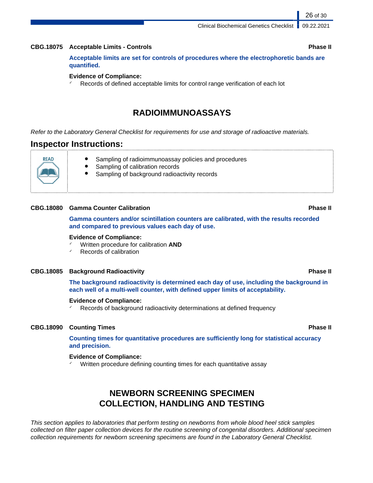#### **CBG.18075 Acceptable Limits - Controls Phase II**

**Acceptable limits are set for controls of procedures where the electrophoretic bands are quantified.**

#### **Evidence of Compliance:**

 $\checkmark$  Records of defined acceptable limits for control range verification of each lot

## **RADIOIMMUNOASSAYS**

Refer to the Laboratory General Checklist for requirements for use and storage of radioactive materials.

### **Inspector Instructions:**

**READ** 

- Sampling of radioimmunoassay policies and procedures
	- Sampling of calibration records
	- Sampling of background radioactivity records

#### **CBG.18080 Gamma Counter Calibration Phase II**

**Gamma counters and/or scintillation counters are calibrated, with the results recorded and compared to previous values each day of use.**

#### **Evidence of Compliance:**

- ✓ Written procedure for calibration **AND**
- Records of calibration

#### **CBG.18085 Background Radioactivity Phase II**

**The background radioactivity is determined each day of use, including the background in each well of a multi-well counter, with defined upper limits of acceptability.**

#### **Evidence of Compliance:**

Records of background radioactivity determinations at defined frequency

### **CBG.18090 Counting Times Phase II**

**Counting times for quantitative procedures are sufficiently long for statistical accuracy and precision.**

#### **Evidence of Compliance:**

✓ Written procedure defining counting times for each quantitative assay

# **NEWBORN SCREENING SPECIMEN COLLECTION, HANDLING AND TESTING**

This section applies to laboratories that perform testing on newborns from whole blood heel stick samples collected on filter paper collection devices for the routine screening of congenital disorders. Additional specimen collection requirements for newborn screening specimens are found in the Laboratory General Checklist.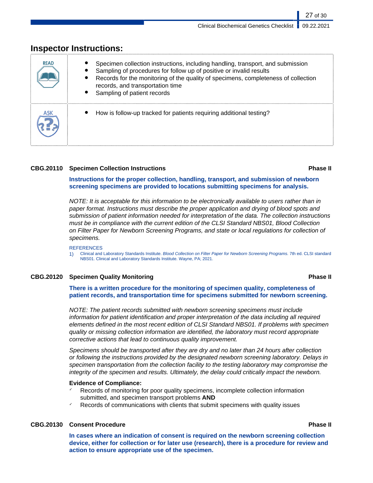| <b>READ</b> | Specimen collection instructions, including handling, transport, and submission<br>Sampling of procedures for follow up of positive or invalid results<br>Records for the monitoring of the quality of specimens, completeness of collection<br>$\bullet$<br>records, and transportation time<br>Sampling of patient records<br>$\bullet$ |
|-------------|-------------------------------------------------------------------------------------------------------------------------------------------------------------------------------------------------------------------------------------------------------------------------------------------------------------------------------------------|
|             | How is follow-up tracked for patients requiring additional testing?                                                                                                                                                                                                                                                                       |

# **Inspector Instructions:**

#### **CBG.20110 Specimen Collection Instructions Phase II**

**Instructions for the proper collection, handling, transport, and submission of newborn screening specimens are provided to locations submitting specimens for analysis.**

NOTE: It is acceptable for this information to be electronically available to users rather than in paper format. Instructions must describe the proper application and drying of blood spots and submission of patient information needed for interpretation of the data. The collection instructions must be in compliance with the current edition of the CLSI Standard NBS01, Blood Collection on Filter Paper for Newborn Screening Programs, and state or local regulations for collection of specimens.

#### **REFERENCES**

1) Clinical and Laboratory Standards Institute. Blood Collection on Filter Paper for Newborn Screening Programs. 7th ed. CLSI standard NBS01. Clinical and Laboratory Standards Institute. Wayne, PA; 2021.

### **CBG.20120 Specimen Quality Monitoring Phase II**

**There is a written procedure for the monitoring of specimen quality, completeness of patient records, and transportation time for specimens submitted for newborn screening.**

NOTE: The patient records submitted with newborn screening specimens must include information for patient identification and proper interpretation of the data including all required elements defined in the most recent edition of CLSI Standard NBS01. If problems with specimen quality or missing collection information are identified, the laboratory must record appropriate corrective actions that lead to continuous quality improvement.

Specimens should be transported after they are dry and no later than 24 hours after collection or following the instructions provided by the designated newborn screening laboratory. Delays in specimen transportation from the collection facility to the testing laboratory may compromise the integrity of the specimen and results. Ultimately, the delay could critically impact the newborn.

### **Evidence of Compliance:**

- Records of monitoring for poor quality specimens, incomplete collection information submitted, and specimen transport problems **AND**
- Records of communications with clients that submit specimens with quality issues

### **CBG.20130 Consent Procedure Phase II**

**In cases where an indication of consent is required on the newborn screening collection device, either for collection or for later use (research), there is a procedure for review and action to ensure appropriate use of the specimen.**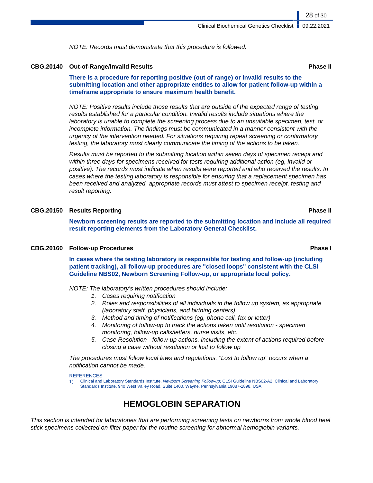NOTE: Records must demonstrate that this procedure is followed.

#### **CBG.20140 Out-of-Range/Invalid Results Phase II**

**There is a procedure for reporting positive (out of range) or invalid results to the submitting location and other appropriate entities to allow for patient follow-up within a timeframe appropriate to ensure maximum health benefit.**

NOTE: Positive results include those results that are outside of the expected range of testing results established for a particular condition. Invalid results include situations where the laboratory is unable to complete the screening process due to an unsuitable specimen, test, or incomplete information. The findings must be communicated in a manner consistent with the urgency of the intervention needed. For situations requiring repeat screening or confirmatory testing, the laboratory must clearly communicate the timing of the actions to be taken.

Results must be reported to the submitting location within seven days of specimen receipt and within three days for specimens received for tests requiring additional action (eg, invalid or positive). The records must indicate when results were reported and who received the results. In cases where the testing laboratory is responsible for ensuring that a replacement specimen has been received and analyzed, appropriate records must attest to specimen receipt, testing and result reporting.

### **CBG.20150 Results Reporting Phase II**

**Newborn screening results are reported to the submitting location and include all required result reporting elements from the Laboratory General Checklist.**

#### **CBG.20160 Follow-up Procedures Phase I**

**In cases where the testing laboratory is responsible for testing and follow-up (including patient tracking), all follow-up procedures are "closed loops" consistent with the CLSI Guideline NBS02, Newborn Screening Follow-up, or appropriate local policy.**

NOTE: The laboratory's written procedures should include:

- 1. Cases requiring notification
- 2. Roles and responsibilities of all individuals in the follow up system, as appropriate (laboratory staff, physicians, and birthing centers)
- 3. Method and timing of notifications (eg, phone call, fax or letter)
- 4. Monitoring of follow-up to track the actions taken until resolution specimen monitoring, follow-up calls/letters, nurse visits, etc.
- 5. Case Resolution follow-up actions, including the extent of actions required before closing a case without resolution or lost to follow up

The procedures must follow local laws and regulations. "Lost to follow up" occurs when a notification cannot be made.

#### **REFERENCES**

1) Clinical and Laboratory Standards Institute. Newborn Screening Follow-up; CLSI Guideline NBS02-A2. Clinical and Laboratory Standards Institute, 940 West Valley Road, Suite 1400, Wayne, Pennsylvania 19087-1898, USA

# **HEMOGLOBIN SEPARATION**

This section is intended for laboratories that are performing screening tests on newborns from whole blood heel stick specimens collected on filter paper for the routine screening for abnormal hemoglobin variants.

28 of 30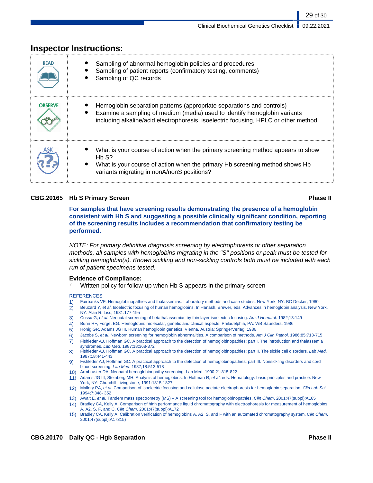|                | <u>IIISPECIUI IIISU UCUUIIS.</u>                                                                                                                                                                                                          |
|----------------|-------------------------------------------------------------------------------------------------------------------------------------------------------------------------------------------------------------------------------------------|
| <b>READ</b>    | Sampling of abnormal hemoglobin policies and procedures<br>Sampling of patient reports (confirmatory testing, comments)<br>Sampling of QC records                                                                                         |
| <b>OBSERVE</b> | Hemoglobin separation patterns (appropriate separations and controls)<br>Examine a sampling of medium (media) used to identify hemoglobin variants<br>including alkaline/acid electrophoresis, isoelectric focusing, HPLC or other method |
|                | What is your course of action when the primary screening method appears to show<br>Hb S?<br>What is your course of action when the primary Hb screening method shows Hb<br>variants migrating in nonA/nonS positions?                     |

# **Inspector Instructions:**

### **CBG.20165 Hb S Primary Screen Phase II**

29 of 30

**For samples that have screening results demonstrating the presence of a hemoglobin consistent with Hb S and suggesting a possible clinically significant condition, reporting of the screening results includes a recommendation that confirmatory testing be performed.**

NOTE: For primary definitive diagnosis screening by electrophoresis or other separation methods, all samples with hemoglobins migrating in the "S" positions or peak must be tested for sickling hemoglobin(s). Known sickling and non-sickling controls both must be included with each run of patient specimens tested.

### **Evidence of Compliance:**

Written policy for follow-up when Hb S appears in the primary screen

#### **REFERENCES**

- 1) Fairbanks VF. Hemoglobinopathies and thalassemias. Laboratory methods and case studies. New York, NY: BC Decker, 1980
- 2) Beuzard Y, et al. Isoelectric focusing of human hemoglobins, In Hanash, Brewer, eds. Advances in hemoglobin analysis. New York, NY: Alan R. Liss, 1981:177-195
- 3) Cossu G, et al. Neonatal screening of betathalassemias by thin layer isoelectric focusing. Am J Hematol. 1982;13:149
- 4) Bunn HF, Forget BG. Hemoglobin: molecular, genetic and clinical aspects. Philadelphia, PA: WB Saunders, 1986
- 5) Honig GR, Adams JG III. Human hemoglobin genetics. Vienna, Austria: SpringerVerlag, 1986
- 6) Jacobs S, et al. Newborn screening for hemoglobin abnormalities. A comparison of methods. Am J Clin Pathol. 1986;85:713-715
- 7) Fishleder AJ, Hoffman GC. A practical approach to the detection of hemoglobinopathies: part I. The introduction and thalassemia syndromes. Lab Med. 1987;18:368-372
- 8) Fishleder AJ, Hoffman GC. A practical approach to the detection of hemoglobinopathies: part II. The sickle cell disorders. Lab Med. 1987;18:441-443
- 9) Fishleder AJ, Hoffman GC. A practical approach to the detection of hemoglobinopathies: part III. Nonsickling disorders and cord blood screening. Lab Med. 1987;18:513-518
- 10) Armbruster DA. Neonatal hemoglobinopathy screening. Lab Med. 1990;21:815-822
- 11) Adams JG III, Steinberg MH. Analysis of hemoglobins, In Hoffman R, et al, eds. Hematology: basic principles and practice. New York, NY: Churchill Livingstone, 1991:1815-1827
- 12) Mallory PA, et al. Comparison of isoelectric focusing and cellulose acetate electrophoresis for hemoglobin separation. Clin Lab Sci. 1994;7:348- 352
- 13) Awalt E, et al. Tandem mass spectrometry (MS) A screening tool for hemoglobinopathies. Clin Chem. 2001;47(suppl):A165
- 14) Bradley CA, Kelly A. Comparison of high performance liquid chromatography with electrophoresis for measurement of hemoglobins A, A2, S, F, and C. Clin Chem. 2001;47(suppl):A172
- 15) Bradley CA, Kelly A. Calibration verification of hemoglobins A, A2, S, and F with an automated chromatography system. Clin Chem. 2001;47(suppl):A17315)